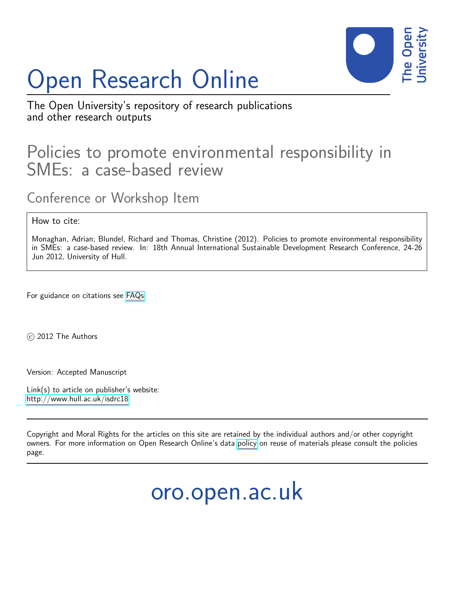# Open Research Online



The Open University's repository of research publications and other research outputs

## Policies to promote environmental responsibility in SMEs: a case-based review

Conference or Workshop Item

How to cite:

Monaghan, Adrian; Blundel, Richard and Thomas, Christine (2012). Policies to promote environmental responsibility in SMEs: a case-based review. In: 18th Annual International Sustainable Development Research Conference, 24-26 Jun 2012, University of Hull.

For guidance on citations see [FAQs.](http://oro.open.ac.uk/help/helpfaq.html)

c 2012 The Authors

Version: Accepted Manuscript

Link(s) to article on publisher's website: <http://www.hull.ac.uk/isdrc18>

Copyright and Moral Rights for the articles on this site are retained by the individual authors and/or other copyright owners. For more information on Open Research Online's data [policy](http://oro.open.ac.uk/policies.html) on reuse of materials please consult the policies page.

oro.open.ac.uk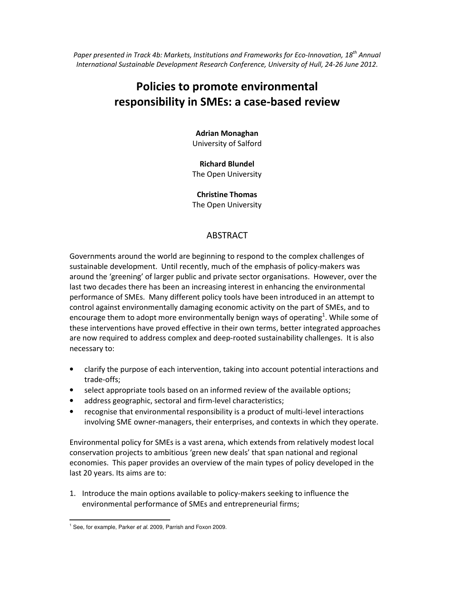*Paper presented in Track 4b: Markets, Institutions and Frameworks for Eco-Innovation, 18th Annual International Sustainable Development Research Conference, University of Hull, 24-26 June 2012.* 

### **Policies to promote environmental responsibility in SMEs: a case-based review**

#### **Adrian Monaghan**

University of Salford

#### **Richard Blundel**

The Open University

#### **Christine Thomas**

The Open University

#### ABSTRACT

Governments around the world are beginning to respond to the complex challenges of sustainable development. Until recently, much of the emphasis of policy-makers was around the 'greening' of larger public and private sector organisations. However, over the last two decades there has been an increasing interest in enhancing the environmental performance of SMEs. Many different policy tools have been introduced in an attempt to control against environmentally damaging economic activity on the part of SMEs, and to encourage them to adopt more environmentally benign ways of operating<sup>1</sup>. While some of these interventions have proved effective in their own terms, better integrated approaches are now required to address complex and deep-rooted sustainability challenges. It is also necessary to:

- clarify the purpose of each intervention, taking into account potential interactions and trade-offs;
- select appropriate tools based on an informed review of the available options;
- address geographic, sectoral and firm-level characteristics;
- recognise that environmental responsibility is a product of multi-level interactions involving SME owner-managers, their enterprises, and contexts in which they operate.

Environmental policy for SMEs is a vast arena, which extends from relatively modest local conservation projects to ambitious 'green new deals' that span national and regional economies. This paper provides an overview of the main types of policy developed in the last 20 years. Its aims are to:

1. Introduce the main options available to policy-makers seeking to influence the environmental performance of SMEs and entrepreneurial firms;

 $\overline{a}$ <sup>1</sup> See, for example, Parker et al. 2009, Parrish and Foxon 2009.